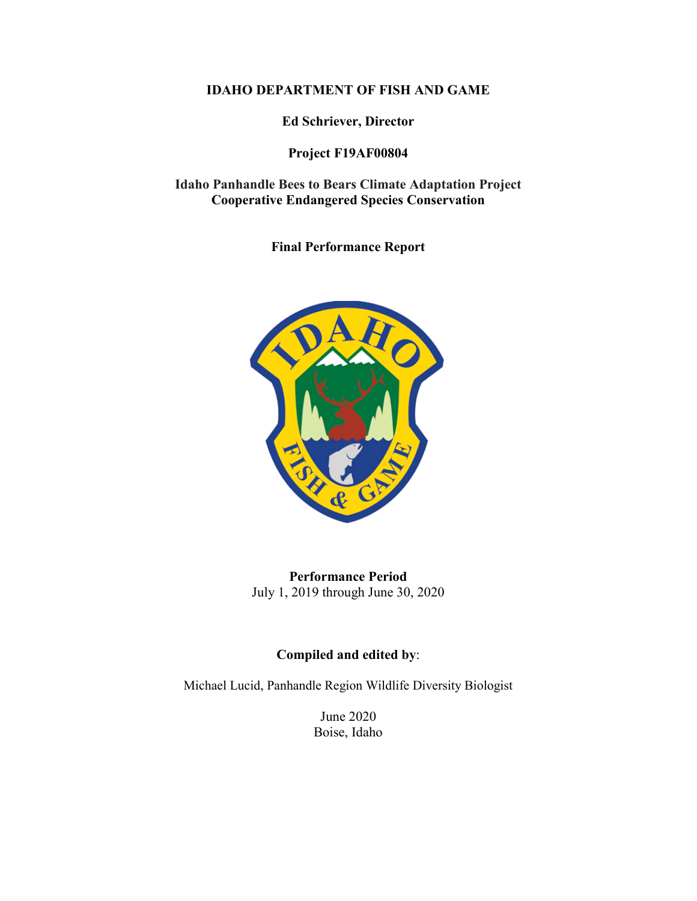## **IDAHO DEPARTMENT OF FISH AND GAME**

**Ed Schriever, Director**

# **Project F19AF00804**

**Idaho Panhandle Bees to Bears Climate Adaptation Project Cooperative Endangered Species Conservation**

**Final Performance Report**



**Performance Period** July 1, 2019 through June 30, 2020

# **Compiled and edited by**:

Michael Lucid, Panhandle Region Wildlife Diversity Biologist

June 2020 Boise, Idaho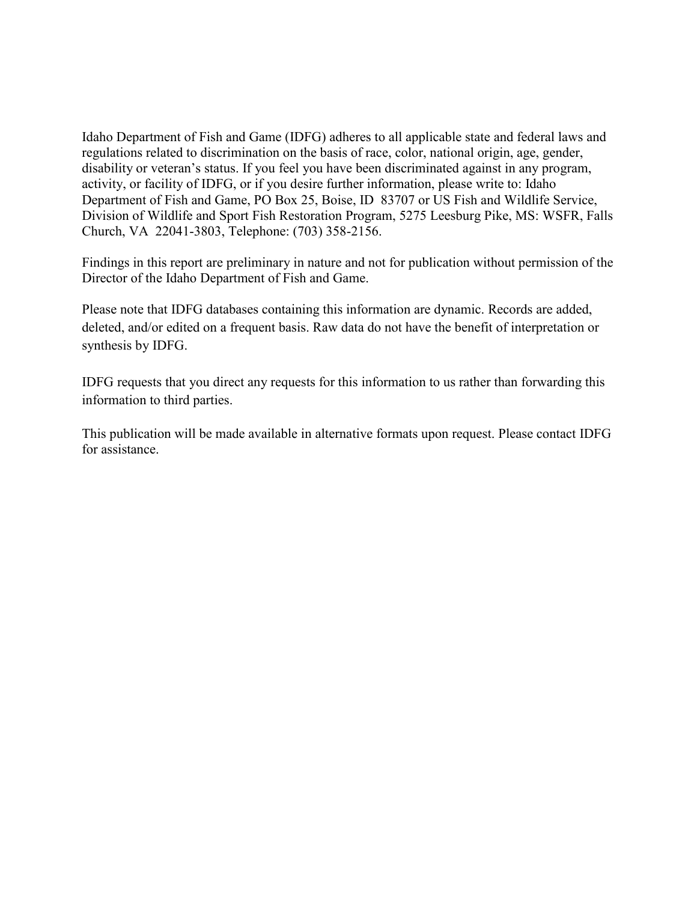Idaho Department of Fish and Game (IDFG) adheres to all applicable state and federal laws and regulations related to discrimination on the basis of race, color, national origin, age, gender, disability or veteran's status. If you feel you have been discriminated against in any program, activity, or facility of IDFG, or if you desire further information, please write to: Idaho Department of Fish and Game, PO Box 25, Boise, ID 83707 or US Fish and Wildlife Service, Division of Wildlife and Sport Fish Restoration Program, 5275 Leesburg Pike, MS: WSFR, Falls Church, VA 22041-3803, Telephone: (703) 358-2156.

Findings in this report are preliminary in nature and not for publication without permission of the Director of the Idaho Department of Fish and Game.

Please note that IDFG databases containing this information are dynamic. Records are added, deleted, and/or edited on a frequent basis. Raw data do not have the benefit of interpretation or synthesis by IDFG.

IDFG requests that you direct any requests for this information to us rather than forwarding this information to third parties.

This publication will be made available in alternative formats upon request. Please contact IDFG for assistance.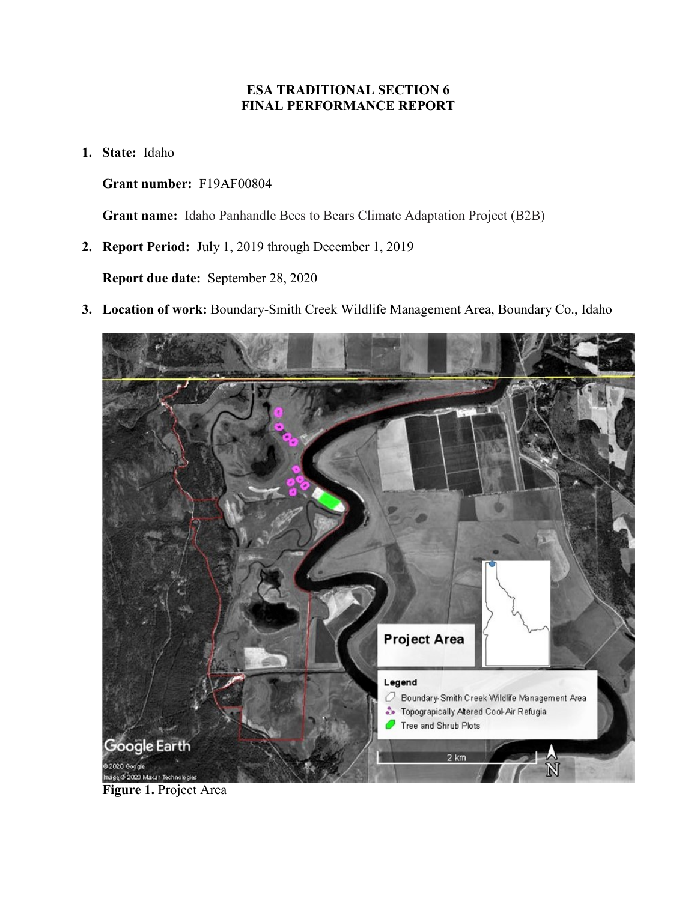# **ESA TRADITIONAL SECTION 6 FINAL PERFORMANCE REPORT**

**1. State:** Idaho

**Grant number:** F19AF00804

**Grant name:** Idaho Panhandle Bees to Bears Climate Adaptation Project (B2B)

**2. Report Period:** July 1, 2019 through December 1, 2019

**Report due date:** September 28, 2020

**3. Location of work:** Boundary-Smith Creek Wildlife Management Area, Boundary Co., Idaho



**Figure 1.** Project Area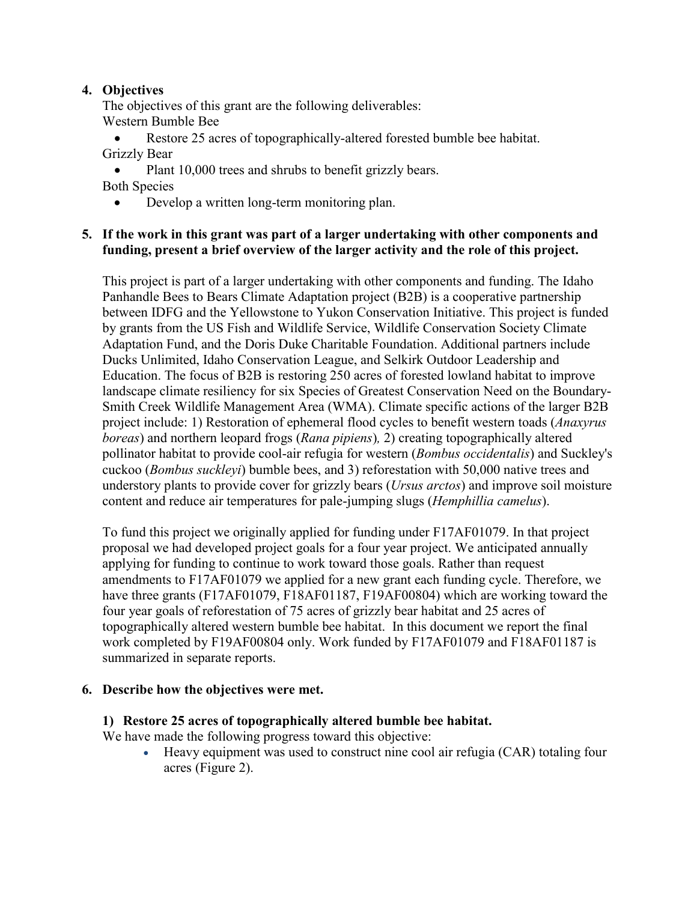## **4. Objectives**

The objectives of this grant are the following deliverables: Western Bumble Bee

Restore 25 acres of topographically-altered forested bumble bee habitat. Grizzly Bear

• Plant 10,000 trees and shrubs to benefit grizzly bears. Both Species

• Develop a written long-term monitoring plan.

#### **5. If the work in this grant was part of a larger undertaking with other components and funding, present a brief overview of the larger activity and the role of this project.**

This project is part of a larger undertaking with other components and funding. The Idaho Panhandle Bees to Bears Climate Adaptation project (B2B) is a cooperative partnership between IDFG and the Yellowstone to Yukon Conservation Initiative. This project is funded by grants from the US Fish and Wildlife Service, Wildlife Conservation Society Climate Adaptation Fund, and the Doris Duke Charitable Foundation. Additional partners include Ducks Unlimited, Idaho Conservation League, and Selkirk Outdoor Leadership and Education. The focus of B2B is restoring 250 acres of forested lowland habitat to improve landscape climate resiliency for six Species of Greatest Conservation Need on the Boundary-Smith Creek Wildlife Management Area (WMA). Climate specific actions of the larger B2B project include: 1) Restoration of ephemeral flood cycles to benefit western toads (*Anaxyrus boreas*) and northern leopard frogs (*Rana pipiens*)*,* 2) creating topographically altered pollinator habitat to provide cool-air refugia for western (*Bombus occidentalis*) and Suckley's cuckoo (*Bombus suckleyi*) bumble bees, and 3) reforestation with 50,000 native trees and understory plants to provide cover for grizzly bears (*Ursus arctos*) and improve soil moisture content and reduce air temperatures for pale-jumping slugs (*Hemphillia camelus*).

To fund this project we originally applied for funding under F17AF01079. In that project proposal we had developed project goals for a four year project. We anticipated annually applying for funding to continue to work toward those goals. Rather than request amendments to F17AF01079 we applied for a new grant each funding cycle. Therefore, we have three grants (F17AF01079, F18AF01187, F19AF00804) which are working toward the four year goals of reforestation of 75 acres of grizzly bear habitat and 25 acres of topographically altered western bumble bee habitat. In this document we report the final work completed by F19AF00804 only. Work funded by F17AF01079 and F18AF01187 is summarized in separate reports.

## **6. Describe how the objectives were met.**

## **1) Restore 25 acres of topographically altered bumble bee habitat.**

We have made the following progress toward this objective:

• Heavy equipment was used to construct nine cool air refugia (CAR) totaling four acres (Figure 2).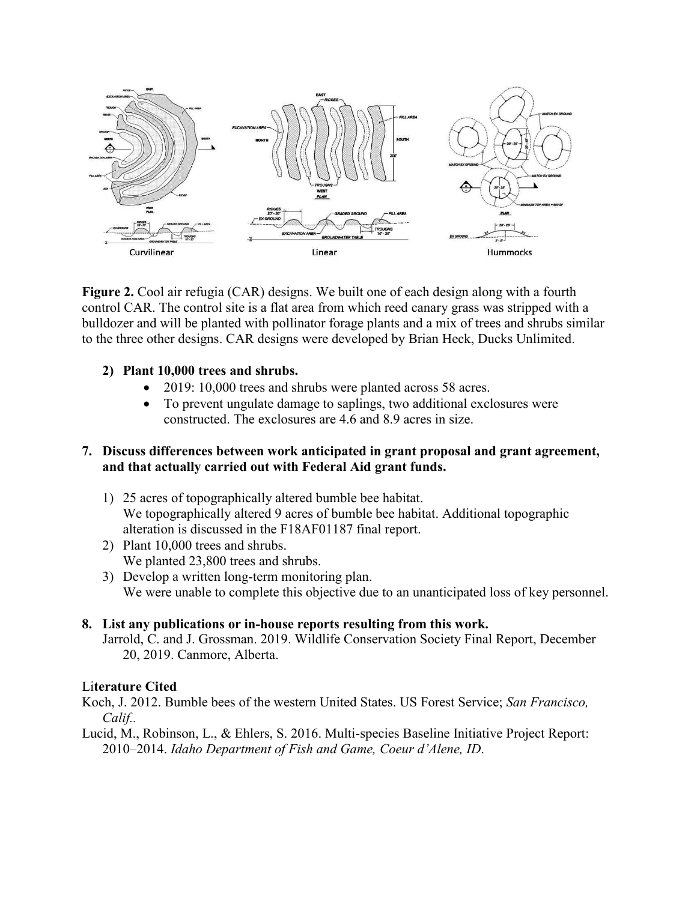

**Figure 2.** Cool air refugia (CAR) designs. We built one of each design along with a fourth control CAR. The control site is a flat area from which reed canary grass was stripped with a bulldozer and will be planted with pollinator forage plants and a mix of trees and shrubs similar to the three other designs. CAR designs were developed by Brian Heck, Ducks Unlimited.

## **2) Plant 10,000 trees and shrubs.**

- 2019: 10,000 trees and shrubs were planted across 58 acres.
- To prevent ungulate damage to saplings, two additional exclosures were constructed. The exclosures are 4.6 and 8.9 acres in size.

#### **7. Discuss differences between work anticipated in grant proposal and grant agreement, and that actually carried out with Federal Aid grant funds.**

- 1) 25 acres of topographically altered bumble bee habitat. We topographically altered 9 acres of bumble bee habitat. Additional topographic alteration is discussed in the F18AF01187 final report.
- 2) Plant 10,000 trees and shrubs. We planted 23,800 trees and shrubs.
- 3) Develop a written long-term monitoring plan. We were unable to complete this objective due to an unanticipated loss of key personnel.

## **8. List any publications or in-house reports resulting from this work.**

Jarrold, C. and J. Grossman. 2019. Wildlife Conservation Society Final Report, December 20, 2019. Canmore, Alberta.

## Li**terature Cited**

Koch, J. 2012. Bumble bees of the western United States. US Forest Service; *San Francisco, Calif..*

Lucid, M., Robinson, L., & Ehlers, S. 2016. Multi-species Baseline Initiative Project Report: 2010–2014. *Idaho Department of Fish and Game, Coeur d'Alene, ID*.